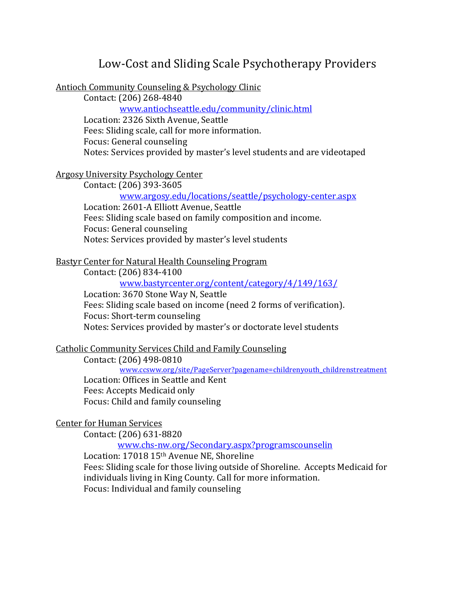# Low-Cost and Sliding Scale Psychotherapy Providers

Antioch Community Counseling & Psychology Clinic

Contact: (206) 268-4840 www.antiochseattle.edu/community/clinic.html Location: 2326 Sixth Avenue, Seattle Fees: Sliding scale, call for more information. Focus: General counseling Notes: Services provided by master's level students and are videotaped

# Argosy University Psychology Center

Contact: (206) 393-3605

www.argosy.edu/locations/seattle/psychology-center.aspx Location: 2601-A Elliott Avenue, Seattle Fees: Sliding scale based on family composition and income. Focus: General counseling Notes: Services provided by master's level students

# Bastyr Center for Natural Health Counseling Program

Contact: (206) 834-4100

www.bastyrcenter.org/content/category/4/149/163/

Location: 3670 Stone Way N, Seattle Fees: Sliding scale based on income (need 2 forms of verification). Focus: Short-term counseling Notes: Services provided by master's or doctorate level students

# Catholic Community Services Child and Family Counseling

Contact: (206) 498-0810 www.ccsww.org/site/PageServer?pagename=childrenyouth\_childrenstreatment Location: Offices in Seattle and Kent Fees: Accepts Medicaid only Focus: Child and family counseling

## Center for Human Services

Contact: (206) 631-8820

www.chs-nw.org/Secondary.aspx?programscounselin

Location: 17018 15<sup>th</sup> Avenue NE, Shoreline Fees: Sliding scale for those living outside of Shoreline. Accepts Medicaid for individuals living in King County. Call for more information. Focus: Individual and family counseling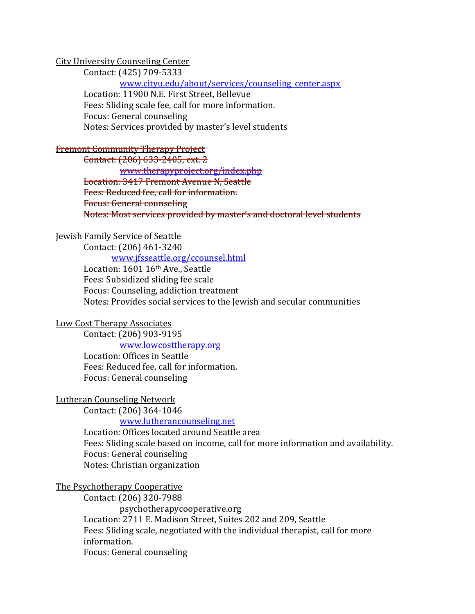## City University Counseling Center

Contact: (425) 709-5333 www.cityu.edu/about/services/counseling\_center.aspx Location: 11900 N.E. First Street, Bellevue Fees: Sliding scale fee, call for more information. Focus: General counseling Notes: Services provided by master's level students

## Fremont Community Therapy Project

Contact: (206) 633-2405, ext. 2 www.therapyproject.org/index.php Location: 3417 Fremont Avenue N, Seattle Fees: Reduced fee, call for information. Focus: General counseling Notes: Most services provided by master's and doctoral level students

## Jewish Family Service of Seattle

Contact: (206) 461-3240

www.jfsseattle.org/ccounsel.html

Location: 1601 16th Ave., Seattle Fees: Subsidized sliding fee scale Focus: Counseling, addiction treatment Notes: Provides social services to the Jewish and secular communities

#### Low Cost Therapy Associates

Contact: (206) 903-9195

www.lowcosttherapy.org

Location: Offices in Seattle Fees: Reduced fee, call for information. Focus: General counseling

#### Lutheran Counseling Network

Contact: (206) 364-1046

www.lutherancounseling.net

Location: Offices located around Seattle area Fees: Sliding scale based on income, call for more information and availability. Focus: General counseling Notes: Christian organization

#### The Psychotherapy Cooperative

Contact: (206) 320-7988 psychotherapycooperative.org Location: 2711 E. Madison Street, Suites 202 and 209, Seattle Fees: Sliding scale, negotiated with the individual therapist, call for more information. Focus: General counseling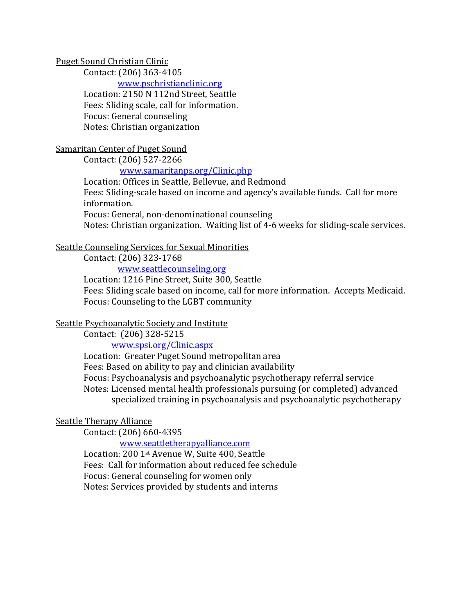## Puget Sound Christian Clinic

Contact: (206) 363-4105

www.pschristianclinic.org Location: 2150 N 112nd Street, Seattle Fees: Sliding scale, call for information. Focus: General counseling Notes: Christian organization

# Samaritan Center of Puget Sound

Contact: (206) 527-2266

# www.samaritanps.org/Clinic.php

Location: Offices in Seattle, Bellevue, and Redmond Fees: Sliding-scale based on income and agency's available funds. Call for more information. Focus: General, non-denominational counseling Notes: Christian organization. Waiting list of 4-6 weeks for sliding-scale services.

## Seattle Counseling Services for Sexual Minorities

Contact: (206) 323-1768

www.seattlecounseling.org

Location: 1216 Pine Street, Suite 300, Seattle

Fees: Sliding scale based on income, call for more information. Accepts Medicaid. Focus: Counseling to the LGBT community

## Seattle Psychoanalytic Society and Institute

Contact: (206) 328-5215

www.spsi.org/Clinic.aspx

Location: Greater Puget Sound metropolitan area Fees: Based on ability to pay and clinician availability Focus: Psychoanalysis and psychoanalytic psychotherapy referral service Notes: Licensed mental health professionals pursuing (or completed) advanced specialized training in psychoanalysis and psychoanalytic psychotherapy

# Seattle Therapy Alliance

Contact: (206) 660-4395

www.seattletherapyalliance.com Location: 200 1<sup>st</sup> Avenue W, Suite 400, Seattle Fees: Call for information about reduced fee schedule Focus: General counseling for women only Notes: Services provided by students and interns